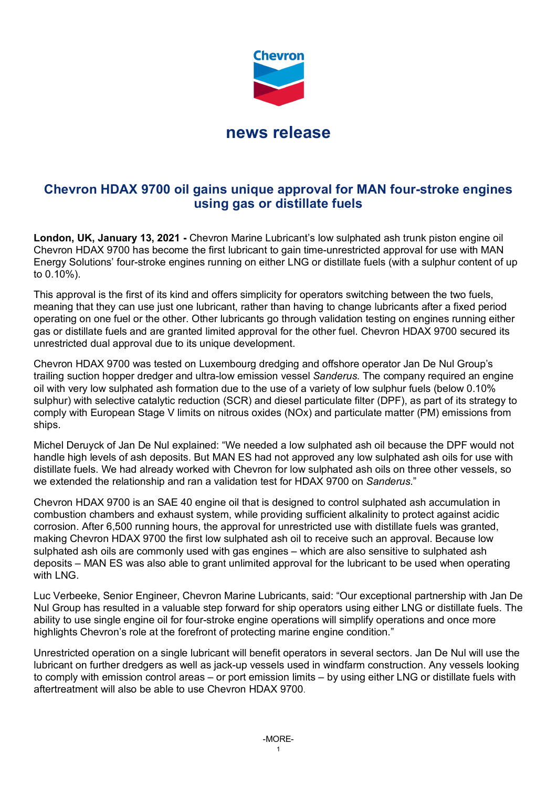

## **Chevron HDAX 9700 oil gains unique approval for MAN four-stroke engines using gas or distillate fuels**

**London, UK, January 13, 2021 -** Chevron Marine Lubricant's low sulphated ash trunk piston engine oil Chevron HDAX 9700 has become the first lubricant to gain time-unrestricted approval for use with MAN Energy Solutions' four-stroke engines running on either LNG or distillate fuels (with a sulphur content of up to 0.10%).

This approval is the first of its kind and offers simplicity for operators switching between the two fuels, meaning that they can use just one lubricant, rather than having to change lubricants after a fixed period operating on one fuel or the other. Other lubricants go through validation testing on engines running either gas or distillate fuels and are granted limited approval for the other fuel. Chevron HDAX 9700 secured its unrestricted dual approval due to its unique development.

Chevron HDAX 9700 was tested on Luxembourg dredging and offshore operator Jan De Nul Group's trailing suction hopper dredger and ultra-low emission vessel *Sanderus*. The company required an engine oil with very low sulphated ash formation due to the use of a variety of low sulphur fuels (below 0.10% sulphur) with selective catalytic reduction (SCR) and diesel particulate filter (DPF), as part of its strategy to comply with European Stage V limits on nitrous oxides (NOx) and particulate matter (PM) emissions from ships.

Michel Deruyck of Jan De Nul explained: "We needed a low sulphated ash oil because the DPF would not handle high levels of ash deposits. But MAN ES had not approved any low sulphated ash oils for use with distillate fuels. We had already worked with Chevron for low sulphated ash oils on three other vessels, so we extended the relationship and ran a validation test for HDAX 9700 on *Sanderus*."

Chevron HDAX 9700 is an SAE 40 engine oil that is designed to control sulphated ash accumulation in combustion chambers and exhaust system, while providing sufficient alkalinity to protect against acidic corrosion. After 6,500 running hours, the approval for unrestricted use with distillate fuels was granted, making Chevron HDAX 9700 the first low sulphated ash oil to receive such an approval. Because low sulphated ash oils are commonly used with gas engines – which are also sensitive to sulphated ash deposits – MAN ES was also able to grant unlimited approval for the lubricant to be used when operating with LNG.

Luc Verbeeke, Senior Engineer, Chevron Marine Lubricants, said: "Our exceptional partnership with Jan De Nul Group has resulted in a valuable step forward for ship operators using either LNG or distillate fuels. The ability to use single engine oil for four-stroke engine operations will simplify operations and once more highlights Chevron's role at the forefront of protecting marine engine condition."

Unrestricted operation on a single lubricant will benefit operators in several sectors. Jan De Nul will use the lubricant on further dredgers as well as jack-up vessels used in windfarm construction. Any vessels looking to comply with emission control areas – or port emission limits – by using either LNG or distillate fuels with aftertreatment will also be able to use Chevron HDAX 9700.